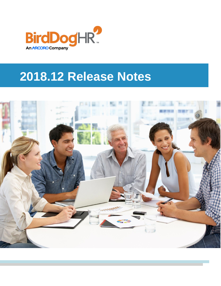

# **2018.12 Release Notes**

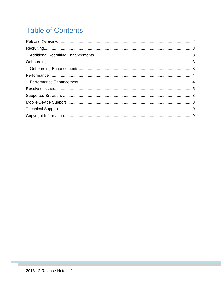# **Table of Contents**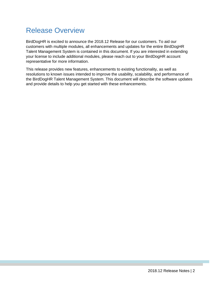### <span id="page-2-0"></span>Release Overview

BirdDogHR is excited to announce the 2018.12 Release for our customers. To aid our customers with multiple modules, all enhancements and updates for the entire BirdDogHR Talent Management System is contained in this document. If you are interested in extending your license to include additional modules, please reach out to your BirdDogHR account representative for more information.

This release provides new features, enhancements to existing functionality, as well as resolutions to known issues intended to improve the usability, scalability, and performance of the BirdDogHR Talent Management System. This document will describe the software updates and provide details to help you get started with these enhancements.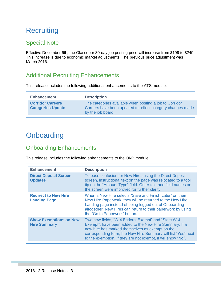# <span id="page-3-0"></span>**Recruiting**

#### Special Note

Effective December 6th, the Glassdoor 30-day job posting price will increase from \$199 to \$249. This increase is due to economic market adjustments. The previous price adjustment was March 2016.

#### <span id="page-3-1"></span>Additional Recruiting Enhancements

This release includes the following additional enhancements to the ATS module:

| <b>Enhancement</b>                                  | <b>Description</b>                                                                                                                         |
|-----------------------------------------------------|--------------------------------------------------------------------------------------------------------------------------------------------|
| <b>Corridor Careers</b><br><b>Categories Update</b> | The categories available when posting a job to Corridor<br>Careers have been updated to reflect category changes made<br>by the job board. |

#### <span id="page-3-2"></span>**Onboarding**

#### <span id="page-3-3"></span>Onboarding Enhancements

This release includes the following enhancements to the ONB module:

| <b>Enhancement</b>                                   | <b>Description</b>                                                                                                                                                                                                                                                                                |
|------------------------------------------------------|---------------------------------------------------------------------------------------------------------------------------------------------------------------------------------------------------------------------------------------------------------------------------------------------------|
| <b>Direct Deposit Screen</b><br><b>Updates</b>       | To ease confusion for New Hires using the Direct Deposit<br>screen, instructional text on the page was relocated to a tool<br>tip on the "Amount Type" field. Other text and field names on<br>the screen were improved for further clarity.                                                      |
| <b>Redirect to New Hire</b><br><b>Landing Page</b>   | When a New Hire selects "Save and Finish Later" on their<br>New Hire Paperwork, they will be returned to the New Hire<br>Landing page instead of being logged out of Onboarding<br>altogether. New Hires can return to their paperwork by using<br>the "Go to Paperwork" button.                  |
| <b>Show Exemptions on New</b><br><b>Hire Summary</b> | Two new fields, "W-4 Federal Exempt" and "State W-4<br>Exempt", have been added to the New Hire Summary. If a<br>new hire has marked themselves as exempt on the<br>corresponding form, the New Hire Summary will list "Yes" next<br>to the exemption. If they are not exempt, it will show "No". |
|                                                      |                                                                                                                                                                                                                                                                                                   |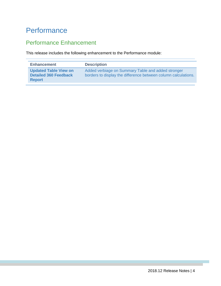### <span id="page-4-0"></span>**Performance**

#### <span id="page-4-1"></span>Performance Enhancement

This release includes the following enhancement to the Performance module:

| <b>Enhancement</b>                                                            | <b>Description</b>                                                                                                   |
|-------------------------------------------------------------------------------|----------------------------------------------------------------------------------------------------------------------|
| <b>Updated Table View on</b><br><b>Detailed 360 Feedback</b><br><b>Report</b> | Added verbiage on Summary Table and added stronger<br>borders to display the difference between column calculations. |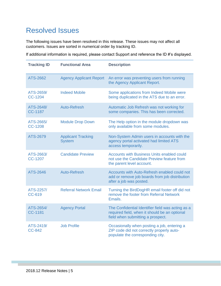### <span id="page-5-0"></span>Resolved Issues

The following issues have been resolved in this release. These issues may not affect all customers. Issues are sorted in numerical order by tracking ID.

If additional information is required, please contact Support and reference the ID #'s displayed.

| <b>Tracking ID</b>          | <b>Functional Area</b>                     | <b>Description</b>                                                                                                                      |
|-----------------------------|--------------------------------------------|-----------------------------------------------------------------------------------------------------------------------------------------|
| ATS-2662                    | <b>Agency Applicant Report</b>             | An error was preventing users from running<br>the Agency Applicant Report.                                                              |
| ATS-2659/<br>CC-1204        | <b>Indeed Mobile</b>                       | Some applications from Indeed Mobile were<br>being duplicated in the ATS due to an error.                                               |
| ATS-2648/<br><b>CC-1187</b> | Auto-Refresh                               | Automatic Job Refresh was not working for<br>some companies. This has been corrected.                                                   |
| ATS-2665/<br><b>CC-1208</b> | <b>Module Drop Down</b>                    | The Help option in the module dropdown was<br>only available from some modules.                                                         |
| ATS-2679                    | <b>Applicant Tracking</b><br><b>System</b> | Non-System Admin users in accounts with the<br>agency portal activated had limited ATS<br>access temporarily.                           |
| ATS-2663/<br>CC-1207        | <b>Candidate Preview</b>                   | <b>Accounts with Business Units enabled could</b><br>not use the Candidate Preview feature from<br>the parent level account.            |
| <b>ATS-2646</b>             | <b>Auto-Refresh</b>                        | Accounts with Auto-Refresh enabled could not<br>add or remove job boards from job distribution<br>after a job was posted.               |
| ATS-2257/<br><b>CC-619</b>  | <b>Referral Network Email</b>              | Turning the BirdDogHR email footer off did not<br>remove the footer from Referral Network<br>Emails.                                    |
| ATS-2654/<br>CC-1181        | <b>Agency Portal</b>                       | The Confidential Identifier field was acting as a<br>required field, when it should be an optional<br>field when submitting a prospect. |
| ATS-2419/<br><b>CC-842</b>  | <b>Job Profile</b>                         | Occasionally when posting a job, entering a<br>ZIP code did not correctly properly auto-<br>populate the corresponding city.            |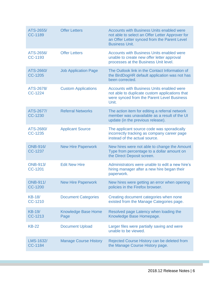| ATS-2655/<br><b>CC-1189</b> | <b>Offer Letters</b>               | <b>Accounts with Business Units enabled were</b><br>not able to select an Offer Letter Approver for<br>an Offer Letter synced from the Parent Level<br><b>Business Unit.</b> |
|-----------------------------|------------------------------------|------------------------------------------------------------------------------------------------------------------------------------------------------------------------------|
| ATS-2656/<br>CC-1193        | <b>Offer Letters</b>               | <b>Accounts with Business Units enabled were</b><br>unable to create new offer letter approval<br>processes at the Business Unit level.                                      |
| ATS-2660/<br><b>CC-1205</b> | <b>Job Application Page</b>        | The Outlook link in the Contact Information of<br>the BirdDogHR default application was not has<br>been corrected.                                                           |
| ATS-2678/<br><b>CC-1224</b> | <b>Custom Applications</b>         | <b>Accounts with Business Units enabled were</b><br>not able to duplicate custom applications that<br>were synced from the Parent Level Business<br>Unit.                    |
| ATS-2677/<br>CC-1230        | <b>Referral Networks</b>           | The action item for editing a referral network<br>member was unavailable as a result of the UI<br>update (in the previous release).                                          |
| ATS-2680/<br>CC-1235        | <b>Applicant Source</b>            | The applicant source code was sporadically<br>incorrectly tracking as company career page<br>instead of the actual source.                                                   |
| <b>ONB-916/</b><br>CC-1237  | <b>New Hire Paperwork</b>          | New hires were not able to change the Amount<br>Type from percentage to a dollar amount on<br>the Direct Deposit screen.                                                     |
| <b>ONB-913/</b><br>CC-1201  | <b>Edit New Hire</b>               | Administrators were unable to edit a new hire's<br>hiring manager after a new hire began their<br>paperwork.                                                                 |
| <b>ONB-911/</b><br>CC-1200  | <b>New Hire Paperwork</b>          | New hires were getting an error when opening<br>policies in the Firefox browser.                                                                                             |
| <b>KB-18/</b><br>CC-1210    | <b>Document Categories</b>         | Creating document categories when none<br>existed from the Manage Categories page.                                                                                           |
| <b>KB-19/</b><br>CC-1213    | <b>Knowledge Base Home</b><br>Page | Resolved page Latency when loading the<br>Knowledge Base Homepage.                                                                                                           |
| <b>KB-22</b>                | <b>Document Upload</b>             | Larger files were partially saving and were<br>unable to be viewed.                                                                                                          |
| LMS-1632/<br>CC-1184        | <b>Manage Course History</b>       | Rejected Course History can be deleted from<br>the Manage Course History page.                                                                                               |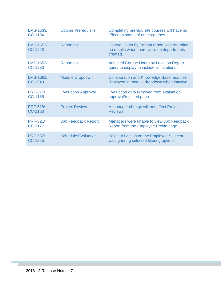| LMS-1633/<br><b>CC-1184</b>       | <b>Course Prerequisite</b> | Completing prerequisite courses will have no<br>effect on status of other courses.                   |
|-----------------------------------|----------------------------|------------------------------------------------------------------------------------------------------|
| LMS-1652/<br><b>CC-1228</b>       | <b>Reporting</b>           | Course Hours by Person report was returning<br>no results when there were no departments<br>created. |
| LMS-1653/<br>CC-1233              | <b>Reporting</b>           | <b>Adjusted Course Hours by Location Report</b><br>query to display to include all locations.        |
| LMS-1661/<br>CC-1243              | <b>Module Dropdown</b>     | <b>Collaboration and Knowledge Base modules</b><br>displayed in module dropdown when inactive.       |
| <b>PRF-517/</b><br>CC-1185        | <b>Evaluation Approval</b> | Evaluation data removed from evaluation<br>approval/rejected page.                                   |
| <b>PRF-518/</b><br>CC-1183        | <b>Project Review</b>      | A manager change will not affect Project<br>Reviews.                                                 |
| <b>PRF-521/</b><br><b>CC-1177</b> | <b>360 Feedback Report</b> | Managers were unable to view 360 Feedback<br>Report from the Employee Profile page.                  |
| <b>PRF-537/</b><br><b>CC-1225</b> | <b>Schedule Evaluation</b> | Select All action on the Employee Selector<br>was ignoring selected filtering options.               |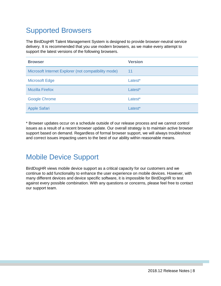# <span id="page-8-0"></span>Supported Browsers

The BirdDogHR Talent Management System is designed to provide browser-neutral service delivery. It is recommended that you use modern browsers, as we make every attempt to support the latest versions of the following browsers.

| <b>Browser</b>                                       | <b>Version</b> |
|------------------------------------------------------|----------------|
| Microsoft Internet Explorer (not compatibility mode) | 11             |
| <b>Microsoft Edge</b>                                | Latest*        |
| <b>Mozilla Firefox</b>                               | Latest*        |
| <b>Google Chrome</b>                                 | Latest*        |
| <b>Apple Safari</b>                                  | Latest*        |

\* Browser updates occur on a schedule outside of our release process and we cannot control issues as a result of a recent browser update. Our overall strategy is to maintain active browser support based on demand. Regardless of formal browser support, we will always troubleshoot and correct issues impacting users to the best of our ability within reasonable means.

### <span id="page-8-1"></span>Mobile Device Support

BirdDogHR views mobile device support as a critical capacity for our customers and we continue to add functionality to enhance the user experience on mobile devices. However, with many different devices and device specific software, it is impossible for BirdDogHR to test against every possible combination. With any questions or concerns, please feel free to contact our support team.